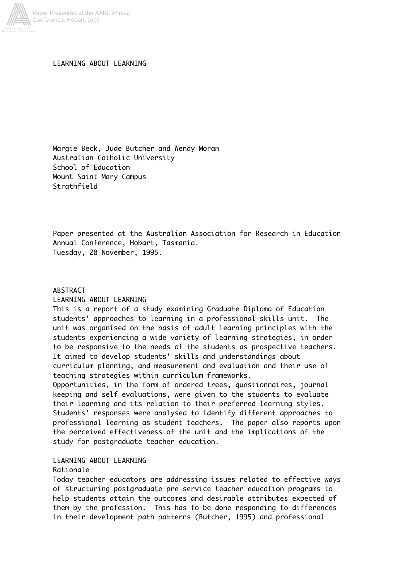

LEARNING ABOUT LEARNING

Margie Beck, Jude Butcher and Wendy Moran Australian Catholic University School of Education Mount Saint Mary Campus Strathfield

Paper presented at the Australian Association for Research in Education Annual Conference, Hobart, Tasmania. Tuesday, 28 November, 1995.

# ABSTRACT LEARNING ABOUT LEARNING

This is a report of a study examining Graduate Diploma of Education students' approaches to learning in a professional skills unit. The unit was organised on the basis of adult learning principles with the students experiencing a wide variety of learning strategies, in order to be responsive to the needs of the students as prospective teachers. It aimed to develop students' skills and understandings about curriculum planning, and measurement and evaluation and their use of teaching strategies within curriculum frameworks.

Opportunities, in the form of ordered trees, questionnaires, journal keeping and self evaluations, were given to the students to evaluate their learning and its relation to their preferred learning styles. Students' responses were analysed to identify different approaches to professional learning as student teachers. The paper also reports upon the perceived effectiveness of the unit and the implications of the study for postgraduate teacher education.

## LEARNING ABOUT LEARNING

### Rationale

Today teacher educators are addressing issues related to effective ways of structuring postgraduate pre-service teacher education programs to help students attain the outcomes and desirable attributes expected of them by the profession. This has to be done responding to differences in their development path patterns (Butcher, 1995) and professional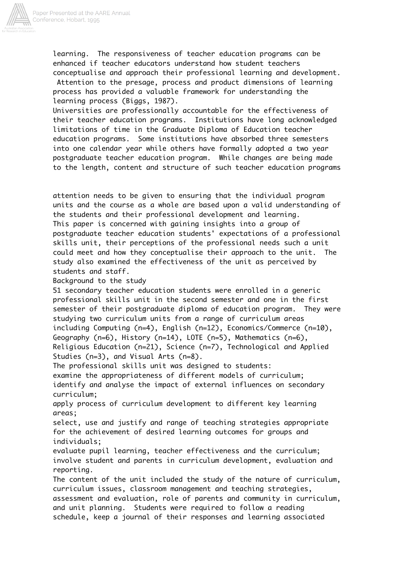

learning. The responsiveness of teacher education programs can be enhanced if teacher educators understand how student teachers conceptualise and approach their professional learning and development. Attention to the presage, process and product dimensions of learning process has provided a valuable framework for understanding the learning process (Biggs, 1987).

Universities are professionally accountable for the effectiveness of their teacher education programs. Institutions have long acknowledged limitations of time in the Graduate Diploma of Education teacher education programs. Some institutions have absorbed three semesters into one calendar year while others have formally adopted a two year postgraduate teacher education program. While changes are being made to the length, content and structure of such teacher education programs

attention needs to be given to ensuring that the individual program units and the course as a whole are based upon a valid understanding of the students and their professional development and learning. This paper is concerned with gaining insights into a group of postgraduate teacher education students' expectations of a professional skills unit, their perceptions of the professional needs such a unit could meet and how they conceptualise their approach to the unit. The study also examined the effectiveness of the unit as perceived by students and staff.

Background to the study

51 secondary teacher education students were enrolled in a generic professional skills unit in the second semester and one in the first semester of their postgraduate diploma of education program. They were studying two curriculum units from a range of curriculum areas including Computing (n=4), English (n=12), Economics/Commerce (n=10), Geography (n=6), History (n=14), LOTE (n=5), Mathematics (n=6), Religious Education (n=21), Science (n=7), Technological and Applied Studies (n=3), and Visual Arts (n=8).

The professional skills unit was designed to students: examine the appropriateness of different models of curriculum; identify and analyse the impact of external influences on secondary curriculum;

apply process of curriculum development to different key learning areas;

select, use and justify and range of teaching strategies appropriate for the achievement of desired learning outcomes for groups and individuals;

evaluate pupil learning, teacher effectiveness and the curriculum; involve student and parents in curriculum development, evaluation and reporting.

The content of the unit included the study of the nature of curriculum, curriculum issues, classroom management and teaching strategies, assessment and evaluation, role of parents and community in curriculum, and unit planning. Students were required to follow a reading schedule, keep a journal of their responses and learning associated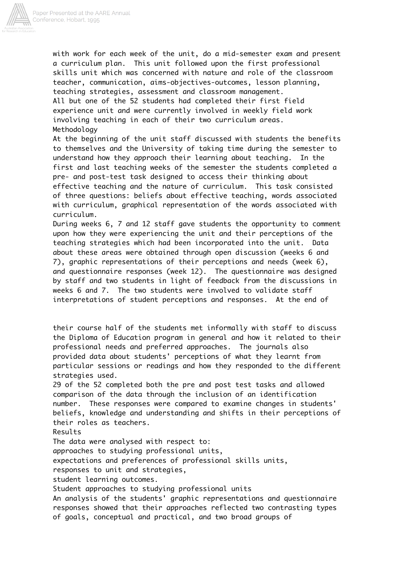

with work for each week of the unit, do a mid-semester exam and present a curriculum plan. This unit followed upon the first professional skills unit which was concerned with nature and role of the classroom teacher, communication, aims-objectives-outcomes, lesson planning, teaching strategies, assessment and classroom management. All but one of the 52 students had completed their first field experience unit and were currently involved in weekly field work involving teaching in each of their two curriculum areas. Methodology

At the beginning of the unit staff discussed with students the benefits to themselves and the University of taking time during the semester to understand how they approach their learning about teaching. In the first and last teaching weeks of the semester the students completed a pre- and post-test task designed to access their thinking about effective teaching and the nature of curriculum. This task consisted of three questions: beliefs about effective teaching, words associated with curriculum, graphical representation of the words associated with curriculum.

During weeks 6, 7 and 12 staff gave students the opportunity to comment upon how they were experiencing the unit and their perceptions of the teaching strategies which had been incorporated into the unit. Data about these areas were obtained through open discussion (weeks 6 and 7), graphic representations of their perceptions and needs (week 6), and questionnaire responses (week 12). The questionnaire was designed by staff and two students in light of feedback from the discussions in weeks 6 and 7. The two students were involved to validate staff interpretations of student perceptions and responses. At the end of

their course half of the students met informally with staff to discuss the Diploma of Education program in general and how it related to their professional needs and preferred approaches. The journals also provided data about students' perceptions of what they learnt from particular sessions or readings and how they responded to the different strategies used.

29 of the 52 completed both the pre and post test tasks and allowed comparison of the data through the inclusion of an identification number. These responses were compared to examine changes in students' beliefs, knowledge and understanding and shifts in their perceptions of their roles as teachers.

Results

The data were analysed with respect to: approaches to studying professional units, expectations and preferences of professional skills units, responses to unit and strategies, student learning outcomes.

Student approaches to studying professional units

An analysis of the students' graphic representations and questionnaire responses showed that their approaches reflected two contrasting types of goals, conceptual and practical, and two broad groups of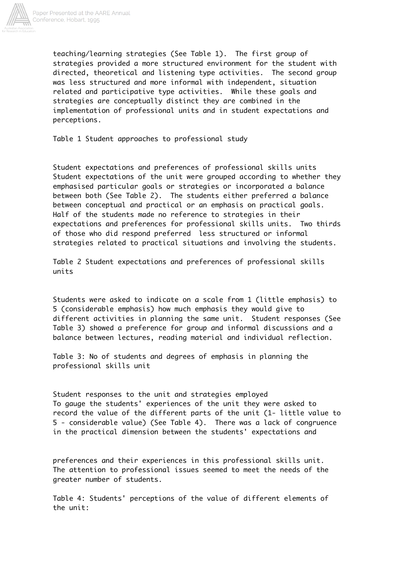

teaching/learning strategies (See Table 1). The first group of strategies provided a more structured environment for the student with directed, theoretical and listening type activities. The second group was less structured and more informal with independent, situation related and participative type activities. While these goals and strategies are conceptually distinct they are combined in the implementation of professional units and in student expectations and perceptions.

Table 1 Student approaches to professional study

Student expectations and preferences of professional skills units Student expectations of the unit were grouped according to whether they emphasised particular goals or strategies or incorporated a balance between both (See Table 2). The students either preferred a balance between conceptual and practical or an emphasis on practical goals. Half of the students made no reference to strategies in their expectations and preferences for professional skills units. Two thirds of those who did respond preferred less structured or informal strategies related to practical situations and involving the students.

Table 2 Student expectations and preferences of professional skills units

Students were asked to indicate on a scale from 1 (little emphasis) to 5 (considerable emphasis) how much emphasis they would give to different activities in planning the same unit. Student responses (See Table 3) showed a preference for group and informal discussions and a balance between lectures, reading material and individual reflection.

Table 3: No of students and degrees of emphasis in planning the professional skills unit

Student responses to the unit and strategies employed To gauge the students' experiences of the unit they were asked to record the value of the different parts of the unit (1- little value to 5 - considerable value) (See Table 4). There was a lack of congruence in the practical dimension between the students' expectations and

preferences and their experiences in this professional skills unit. The attention to professional issues seemed to meet the needs of the greater number of students.

Table 4: Students' perceptions of the value of different elements of the unit: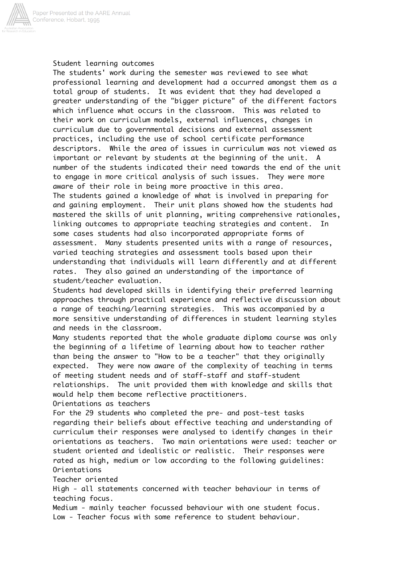

## Student learning outcomes

The students' work during the semester was reviewed to see what professional learning and development had a occurred amongst them as a total group of students. It was evident that they had developed a greater understanding of the "bigger picture" of the different factors which influence what occurs in the classroom. This was related to their work on curriculum models, external influences, changes in curriculum due to governmental decisions and external assessment practices, including the use of school certificate performance descriptors. While the area of issues in curriculum was not viewed as important or relevant by students at the beginning of the unit. A number of the students indicated their need towards the end of the unit to engage in more critical analysis of such issues. They were more aware of their role in being more proactive in this area. The students gained a knowledge of what is involved in preparing for and gaining employment. Their unit plans showed how the students had mastered the skills of unit planning, writing comprehensive rationales, linking outcomes to appropriate teaching strategies and content. some cases students had also incorporated appropriate forms of assessment. Many students presented units with a range of resources, varied teaching strategies and assessment tools based upon their understanding that individuals will learn differently and at different rates. They also gained an understanding of the importance of student/teacher evaluation.

Students had developed skills in identifying their preferred learning approaches through practical experience and reflective discussion about a range of teaching/learning strategies. This was accompanied by a more sensitive understanding of differences in student learning styles and needs in the classroom.

Many students reported that the whole graduate diploma course was only the beginning of a lifetime of learning about how to teacher rather than being the answer to "How to be a teacher" that they originally expected. They were now aware of the complexity of teaching in terms of meeting student needs and of staff-staff and staff-student relationships. The unit provided them with knowledge and skills that would help them become reflective practitioners.

Orientations as teachers

For the 29 students who completed the pre- and post-test tasks regarding their beliefs about effective teaching and understanding of curriculum their responses were analysed to identify changes in their orientations as teachers. Two main orientations were used: teacher or student oriented and idealistic or realistic. Their responses were rated as high, medium or low according to the following guidelines: Orientations

### Teacher oriented

High - all statements concerned with teacher behaviour in terms of teaching focus.

Medium - mainly teacher focussed behaviour with one student focus. Low - Teacher focus with some reference to student behaviour.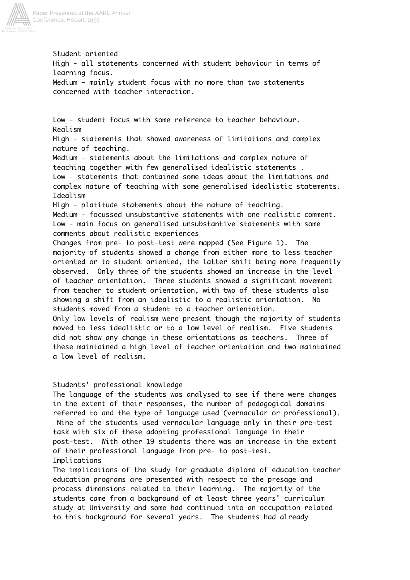

Student oriented High - all statements concerned with student behaviour in terms of learning focus. Medium - mainly student focus with no more than two statements concerned with teacher interaction.

Low - student focus with some reference to teacher behaviour. Realism High - statements that showed awareness of limitations and complex nature of teaching. Medium - statements about the limitations and complex nature of teaching together with few generalised idealistic statements . Low - statements that contained some ideas about the limitations and complex nature of teaching with some generalised idealistic statements. Idealism High - platitude statements about the nature of teaching. Medium - focussed unsubstantive statements with one realistic comment. Low - main focus on generalised unsubstantive statements with some comments about realistic experiences Changes from pre- to post-test were mapped (See Figure 1). The majority of students showed a change from either more to less teacher oriented or to student oriented, the latter shift being more frequently observed. Only three of the students showed an increase in the level of teacher orientation. Three students showed a significant movement from teacher to student orientation, with two of these students also showing a shift from an idealistic to a realistic orientation. students moved from a student to a teacher orientation. Only low levels of realism were present though the majority of students moved to less idealistic or to a low level of realism. Five students did not show any change in these orientations as teachers. Three of these maintained a high level of teacher orientation and two maintained a low level of realism.

### Students' professional knowledge

The language of the students was analysed to see if there were changes in the extent of their responses, the number of pedagogical domains referred to and the type of language used (vernacular or professional). Nine of the students used vernacular language only in their pre-test task with six of these adopting professional language in their post-test. With other 19 students there was an increase in the extent of their professional language from pre- to post-test. Implications

The implications of the study for graduate diploma of education teacher education programs are presented with respect to the presage and process dimensions related to their learning. The majority of the students came from a background of at least three years' curriculum study at University and some had continued into an occupation related to this background for several years. The students had already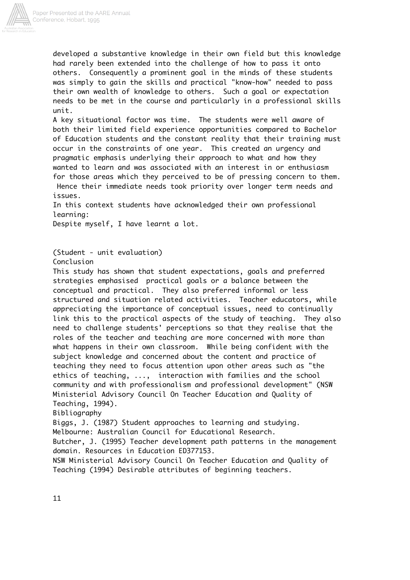

developed a substantive knowledge in their own field but this knowledge had rarely been extended into the challenge of how to pass it onto others. Consequently a prominent goal in the minds of these students was simply to gain the skills and practical "know-how" needed to pass their own wealth of knowledge to others. Such a goal or expectation needs to be met in the course and particularly in a professional skills unit.

A key situational factor was time. The students were well aware of both their limited field experience opportunities compared to Bachelor of Education students and the constant reality that their training must occur in the constraints of one year. This created an urgency and pragmatic emphasis underlying their approach to what and how they wanted to learn and was associated with an interest in or enthusiasm for those areas which they perceived to be of pressing concern to them. Hence their immediate needs took priority over longer term needs and issues.

In this context students have acknowledged their own professional learning:

Despite myself, I have learnt a lot.

(Student - unit evaluation)

Conclusion

This study has shown that student expectations, goals and preferred strategies emphasised practical goals or a balance between the conceptual and practical. They also preferred informal or less structured and situation related activities. Teacher educators, while appreciating the importance of conceptual issues, need to continually link this to the practical aspects of the study of teaching. They also need to challenge students' perceptions so that they realise that the roles of the teacher and teaching are more concerned with more than what happens in their own classroom. While being confident with the subject knowledge and concerned about the content and practice of teaching they need to focus attention upon other areas such as "the ethics of teaching, ..., interaction with families and the school community and with professionalism and professional development" (NSW Ministerial Advisory Council On Teacher Education and Quality of Teaching, 1994). Bibliography

Biggs, J. (1987) Student approaches to learning and studying. Melbourne: Australian Council for Educational Research.

Butcher, J. (1995) Teacher development path patterns in the management domain. Resources in Education ED377153.

NSW Ministerial Advisory Council On Teacher Education and Quality of Teaching (1994) Desirable attributes of beginning teachers.